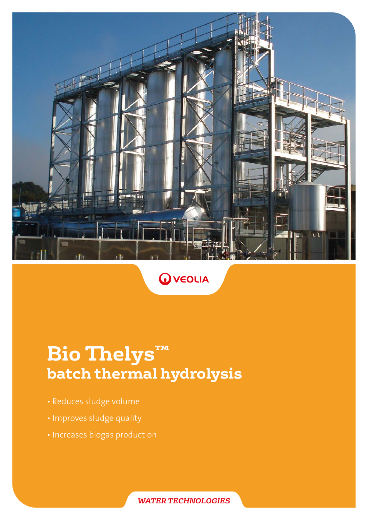



# **Bio Thelys™ batch thermal hydrolysis**

- Reduces sludge volume
- Improves sludge quality
- Increases biogas production

*WATER TECHNOLOGIES*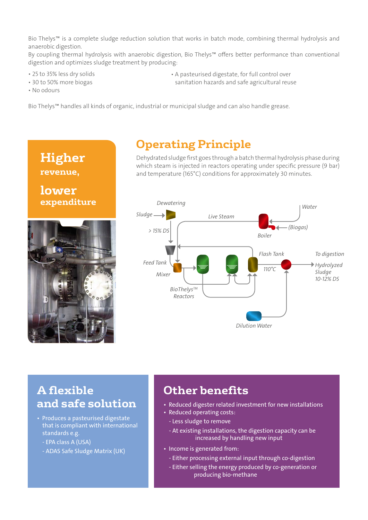Bio Thelys™ is a complete sludge reduction solution that works in batch mode, combining thermal hydrolysis and anaerobic digestion.

By coupling thermal hydrolysis with anaerobic digestion, Bio Thelys™ offers better performance than conventional digestion and optimizes sludge treatment by producing:

• 25 to 35% less dry solids

• A pasteurised digestate, for full control over sanitation hazards and safe agricultural reuse

• 30 to 50% more biogas • No odours

Bio Thelys™ handles all kinds of organic, industrial or municipal sludge and can also handle grease.



### **Operating Principle**

Dehydrated sludge first goes through a batch thermal hydrolysis phase during which steam is injected in reactors operating under specific pressure (9 bar) and temperature (165°C) conditions for approximately 30 minutes.



### **A flexible and safe solution**

- Produces a pasteurised digestate that is compliant with international standards e.g.
	- EPA class A (USA)
	- ADAS Safe Sludge Matrix (UK)

## **Other benefits**

- Reduced digester related investment for new installations
- Reduced operating costs:
	- Less sludge to remove
	- At existing installations, the digestion capacity can be increased by handling new input
- Income is generated from:
	- Either processing external input through co-digestion
	- Either selling the energy produced by co-generation or producing bio-methane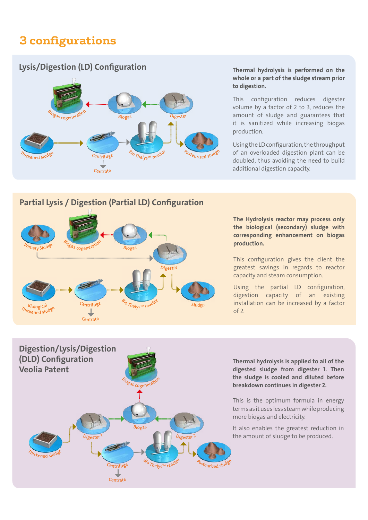# **3 configurations**

#### Lysis/Digestion (LD) Configuration



Thermal hydrolysis is performed on the whole or a part of the sludge stream prior to digestion.

This configuration reduces digester<br>
volume by a factor of 2 to 3, reduces the<br>
amount of sludge and guarantees that volume by a factor of 2 to 3, reduces the it is sanitized while increasing biogas production.

> Using the LD configuration, the throughput of an overloaded digestion plant can be doubled, thus avoiding the need to build additional digestion capacity.

#### Partial Lysis / Digestion (Partial LD) Configuration



The Hydrolysis reactor may process only the biological (secondary) sludge with corresponding enhancement on biogas production.

This configuration gives the client the greatest savings in regards to reactor capacity and steam consumption.

Using the partial LD configuration, digestion capacity of an existing installation can be increased by a factor of 2.



Thermal hydrolysis is applied to all of the digested sludge from digester 1. Then the sludge is cooled and diluted before breakdown continues in digester 2.

This is the optimum formula in energy terms as it uses less steam while producing more biogas and electricity.

It also enables the greatest reduction in the amount of sludge to be produced.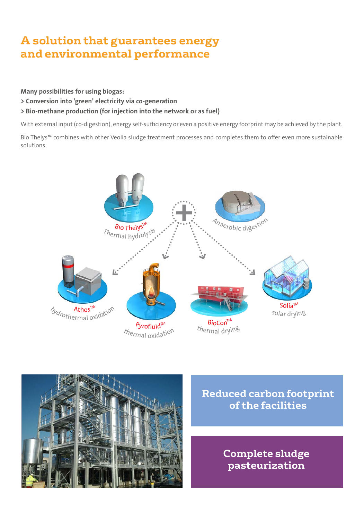# **A solution that guarantees energy and environmental performance**

Many possibilities for using biogas:

- > Conversion into 'green' electricity via co-generation
- > Bio-methane production (for injection into the network or as fuel)

With external input (co-digestion), energy self-sufficiency or even a positive energy footprint may be achieved by the plant.

Bio Thelys™ combines with other Veolia sludge treatment processes and completes them to offer even more sustainable solutions.





**Reduced carbon footprint of the facilities**

> **Complete sludge pasteurization**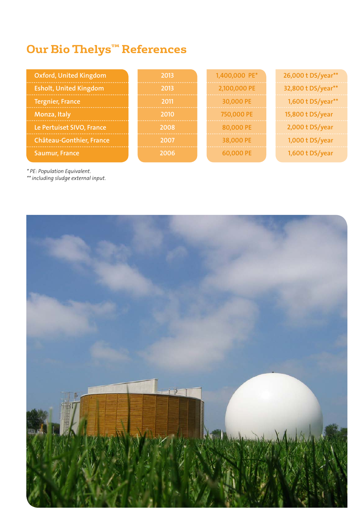# **Our Bio Thelys™ References**

| <b>Oxford, United Kingdom</b>   | 2013 | 1,400,000 PE* | 26,000 t DS/year** |
|---------------------------------|------|---------------|--------------------|
| <b>Esholt, United Kingdom</b>   | 2013 | 2,100,000 PE  | 32,800 t DS/year** |
| <b>Tergnier, France</b>         | 2011 | 30,000 PE     | 1,600 t DS/year**  |
| Monza, Italy                    | 2010 | 750,000 PE    | 15,800 t DS/year   |
| Le Pertuiset SIVO, France       | 2008 | 80,000 PE     | 2,000 t DS/year    |
| <b>Château-Gonthier, France</b> | 2007 | 38,000 PE     | 1,000 $t$ DS/year  |
| Saumur, France                  | המחי | 60.000 PF     | 1,600 $t$ DS/year  |

*\* PE: Population Equivalent.*

*\*\* including sludge external input.*